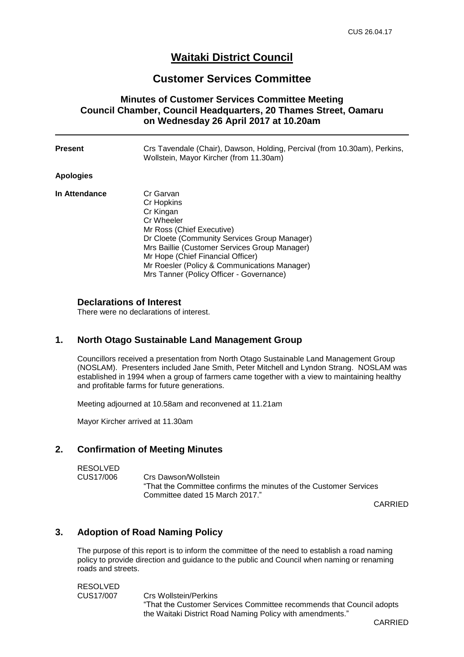# **Waitaki District Council**

## **Customer Services Committee**

### **Minutes of Customer Services Committee Meeting Council Chamber, Council Headquarters, 20 Thames Street, Oamaru on Wednesday 26 April 2017 at 10.20am**

| Present       | Crs Tavendale (Chair), Dawson, Holding, Percival (from 10.30am), Perkins,<br>Wollstein, Mayor Kircher (from 11.30am)                                                                                                                                                                                              |
|---------------|-------------------------------------------------------------------------------------------------------------------------------------------------------------------------------------------------------------------------------------------------------------------------------------------------------------------|
| Apologies     |                                                                                                                                                                                                                                                                                                                   |
| In Attendance | Cr Garvan<br>Cr Hopkins<br>Cr Kingan<br>Cr Wheeler<br>Mr Ross (Chief Executive)<br>Dr Cloete (Community Services Group Manager)<br>Mrs Baillie (Customer Services Group Manager)<br>Mr Hope (Chief Financial Officer)<br>Mr Roesler (Policy & Communications Manager)<br>Mrs Tanner (Policy Officer - Governance) |

#### **Declarations of Interest**

There were no declarations of interest.

#### **1. North Otago Sustainable Land Management Group**

Councillors received a presentation from North Otago Sustainable Land Management Group (NOSLAM). Presenters included Jane Smith, Peter Mitchell and Lyndon Strang. NOSLAM was established in 1994 when a group of farmers came together with a view to maintaining healthy and profitable farms for future generations.

Meeting adjourned at 10.58am and reconvened at 11.21am

Mayor Kircher arrived at 11.30am

### **2. Confirmation of Meeting Minutes**

RESOLVED CUS17/006 Crs Dawson/Wollstein "That the Committee confirms the minutes of the Customer Services Committee dated 15 March 2017."

CARRIED

## **3. Adoption of Road Naming Policy**

The purpose of this report is to inform the committee of the need to establish a road naming policy to provide direction and guidance to the public and Council when naming or renaming roads and streets.

RESOLVED CUS17/007 Crs Wollstein/Perkins "That the Customer Services Committee recommends that Council adopts the Waitaki District Road Naming Policy with amendments."